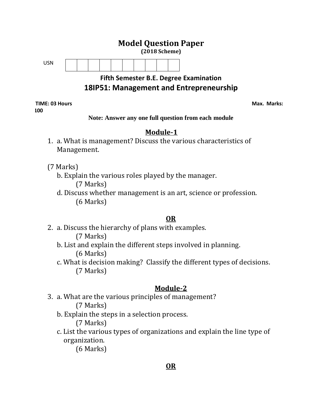

# **18IP51: Management and Entrepreneurship**

**TIME: 03 Hours Max. Marks:**  $\blacksquare$ **100**

**Note: Answer any one full question from each module**

# **Module-1**

- 1. a. What is management? Discuss the various characteristics of Management.
- (7 Marks)
	- b. Explain the various roles played by the manager.

(7 Marks)

d. Discuss whether management is an art, science or profession. (6 Marks)

# **OR**

2. a. Discuss the hierarchy of plans with examples.

(7 Marks)

- b. List and explain the different steps involved in planning. (6 Marks)
- c. What is decision making? Classify the different types of decisions. (7 Marks)

# **Module-2**

- 3. a. What are the various principles of management? (7 Marks)
	- b. Explain the steps in a selection process.

(7 Marks)

c. List the various types of organizations and explain the line type of organization.

(6 Marks)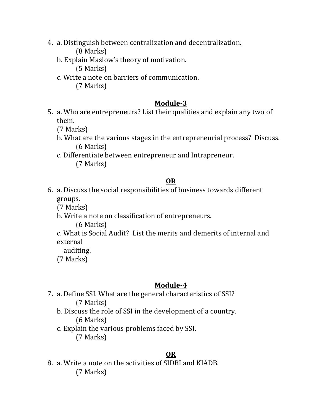- 4. a. Distinguish between centralization and decentralization. (8 Marks)
	- b. Explain Maslow's theory of motivation.

(5 Marks)

c. Write a note on barriers of communication.

(7 Marks)

### **Module-3**

5. a. Who are entrepreneurs? List their qualities and explain any two of them. The contract of the contract of the contract of the contract of the contract of the contract of the contract of the contract of the contract of the contract of the contract of the contract of the contract of the cont

(7 Marks)

- b. What are the various stages in the entrepreneurial process? Discuss. (6 Marks)
- c. Differentiate between entrepreneur and Intrapreneur. (7 Marks)

### **OR**

6. a. Discuss the social responsibilities of business towards different groups. The contract of the contract of the contract of the contract of the contract of the contract of the contract of the contract of the contract of the contract of the contract of the contract of the contract of the co

(7 Marks)

b. Write a note on classification of entrepreneurs.

(6 Marks)

c. What is Social Audit? List the merits and demerits of internal and external

auditing.

(7 Marks)

# **Module-4**

- 7. a. Define SSI. What are the general characteristics of SSI? (7 Marks)
	- b. Discuss the role of SSI in the development of a country. (6 Marks)
	- c. Explain the various problems faced by SSI. (7 Marks)

# **OR**

8. a. Write a note on the activities of SIDBI and KIADB. (7 Marks)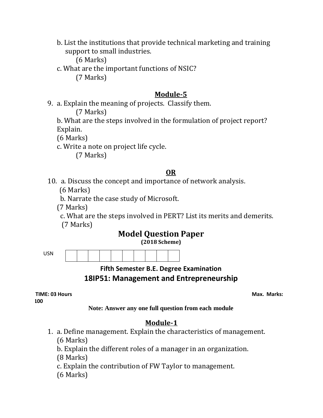b. List the institutions that provide technical marketing and training support to small industries.

(6 Marks)

c. What are the important functions of NSIC? (7 Marks)

#### **Module-5**

9. a. Explain the meaning of projects. Classify them.

(7 Marks)

b. What are the steps involved in the formulation of project report? Explain.

(6 Marks)

c. Write a note on project life cycle.

(7 Marks)

### **OR**

10. a. Discuss the concept and importance of network analysis.

(6 Marks)

b. Narrate the case study of Microsoft.

(7 Marks)

 c. What are the steps involved in PERT? List its merits and demerits. (7 Marks)

# **Model Question Paper**

**(2018 Scheme)**

USN

**Fifth Semester B.E. Degree Examination 18IP51: Management and Entrepreneurship**

**TIME: 03 Hours Max. Marks:**  $\blacksquare$  **Max. Marks:**  $\blacksquare$  **Max. Marks:**  $\blacksquare$  **Max. Marks:**  $\blacksquare$ **100**

**Note: Answer any one full question from each module**

# **Module-1**

1. a. Define management. Explain the characteristics of management. (6 Marks)

b. Explain the different roles of a manager in an organization.

(8 Marks)

c. Explain the contribution of FW Taylor to management.

(6 Marks)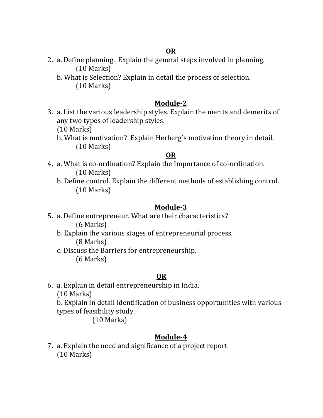2. a. Define planning. Explain the general steps involved in planning. (10 Marks)

b. What is Selection? Explain in detail the process of selection. (10 Marks)

### **Module-2**

3. a. List the various leadership styles. Explain the merits and demerits of any two types of leadership styles.

(10 Marks)

b. What is motivation? Explain Herberg's motivation theory in detail. (10 Marks)

### **OR**

- 4. a. What is co-ordination? Explain the Importance of co-ordination. (10 Marks)
	- b. Define control. Explain the different methods of establishing control. (10 Marks)

### **Module-3**

- 5. a. Define entrepreneur. What are their characteristics? (6 Marks)
	- b. Explain the various stages of entrepreneurial process. (8 Marks)
	- c. Discuss the Barriers for entrepreneurship. (6 Marks)

### **OR**

6. a. Explain in detail entrepreneurship in India.

(10 Marks)

b. Explain in detail identification of business opportunities with various types of feasibility study.

(10 Marks)

# **Module-4**

7. a. Explain the need and significance of a project report. (10 Marks)